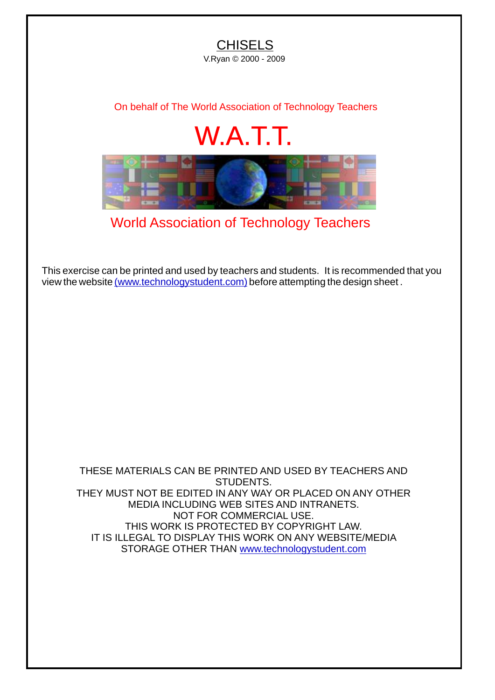